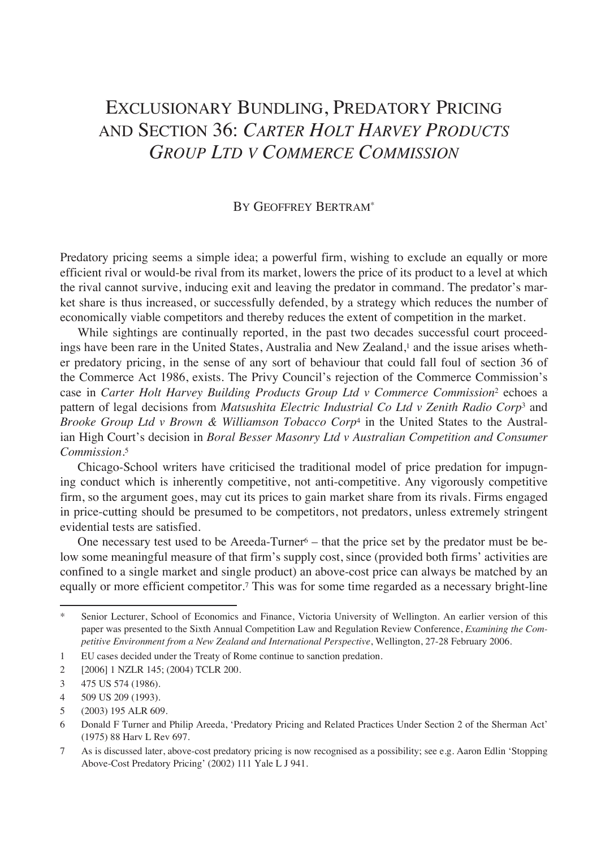# Exclusionary Bundling, Predatory Pricing and Section 36: *Carter Holt Harvey Products Group Ltd v Commerce Commission*

#### By Geoffrey Bertram\*

Predatory pricing seems a simple idea; a powerful firm, wishing to exclude an equally or more efficient rival or would-be rival from its market, lowers the price of its product to a level at which the rival cannot survive, inducing exit and leaving the predator in command. The predator's market share is thus increased, or successfully defended, by a strategy which reduces the number of economically viable competitors and thereby reduces the extent of competition in the market.

While sightings are continually reported, in the past two decades successful court proceedings have been rare in the United States, Australia and New Zealand,<sup>1</sup> and the issue arises whether predatory pricing, in the sense of any sort of behaviour that could fall foul of section 36 of the Commerce Act 1986, exists. The Privy Council's rejection of the Commerce Commission's case in *Carter Holt Harvey Building Products Group Ltd v Commerce Commission*2 echoes a pattern of legal decisions from *Matsushita Electric Industrial Co Ltd v Zenith Radio Corp*3 and *Brooke Group Ltd v Brown & Williamson Tobacco Corp*4 in the United States to the Australian High Court's decision in *Boral Besser Masonry Ltd v Australian Competition and Consumer Commission.*<sup>5</sup>

Chicago-School writers have criticised the traditional model of price predation for impugning conduct which is inherently competitive, not anti-competitive. Any vigorously competitive firm, so the argument goes, may cut its prices to gain market share from its rivals. Firms engaged in price-cutting should be presumed to be competitors, not predators, unless extremely stringent evidential tests are satisfied.

One necessary test used to be Areeda-Turner $6 -$  that the price set by the predator must be below some meaningful measure of that firm's supply cost, since (provided both firms' activities are confined to a single market and single product) an above-cost price can always be matched by an equally or more efficient competitor.7 This was for some time regarded as a necessary bright-line

Senior Lecturer, School of Economics and Finance, Victoria University of Wellington. An earlier version of this paper was presented to the Sixth Annual Competition Law and Regulation Review Conference, *Examining the Competitive Environment from a New Zealand and International Perspective*, Wellington, 27-28 February 2006.

<sup>1</sup> EU cases decided under the Treaty of Rome continue to sanction predation.

<sup>2 [2006] 1</sup> NZLR 145; (2004) TCLR 200.

<sup>3 475</sup> US 574 (1986).

<sup>4 509</sup> US 209 (1993).

<sup>5 (2003) 195</sup> ALR 609.

<sup>6</sup> Donald F Turner and Philip Areeda, 'Predatory Pricing and Related Practices Under Section 2 of the Sherman Act' (1975) 88 Harv L Rev 697.

<sup>7</sup> As is discussed later, above-cost predatory pricing is now recognised as a possibility; see e.g. Aaron Edlin 'Stopping Above-Cost Predatory Pricing' (2002) 111 Yale L J 941.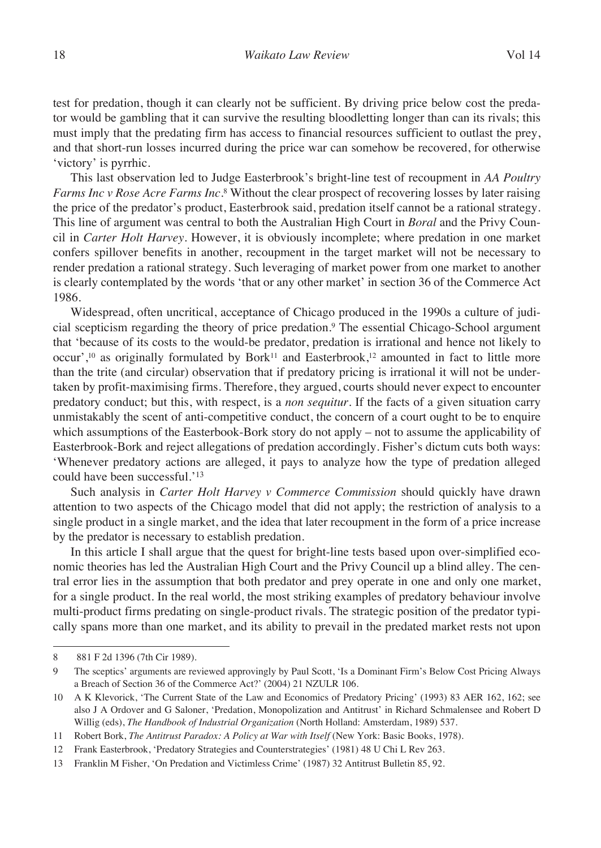test for predation, though it can clearly not be sufficient. By driving price below cost the predator would be gambling that it can survive the resulting bloodletting longer than can its rivals; this must imply that the predating firm has access to financial resources sufficient to outlast the prey, and that short-run losses incurred during the price war can somehow be recovered, for otherwise 'victory' is pyrrhic.

This last observation led to Judge Easterbrook's bright-line test of recoupment in *AA Poultry Farms Inc v Rose Acre Farms Inc*.8 Without the clear prospect of recovering losses by later raising the price of the predator's product, Easterbrook said, predation itself cannot be a rational strategy. This line of argument was central to both the Australian High Court in *Boral* and the Privy Council in *Carter Holt Harvey*. However, it is obviously incomplete; where predation in one market confers spillover benefits in another, recoupment in the target market will not be necessary to render predation a rational strategy. Such leveraging of market power from one market to another is clearly contemplated by the words 'that or any other market' in section 36 of the Commerce Act 1986.

Widespread, often uncritical, acceptance of Chicago produced in the 1990s a culture of judicial scepticism regarding the theory of price predation.9 The essential Chicago-School argument that 'because of its costs to the would-be predator, predation is irrational and hence not likely to occur',10 as originally formulated by Bork11 and Easterbrook,12 amounted in fact to little more than the trite (and circular) observation that if predatory pricing is irrational it will not be undertaken by profit-maximising firms. Therefore, they argued, courts should never expect to encounter predatory conduct; but this, with respect, is a *non sequitur*. If the facts of a given situation carry unmistakably the scent of anti-competitive conduct, the concern of a court ought to be to enquire which assumptions of the Easterbook-Bork story do not apply – not to assume the applicability of Easterbrook-Bork and reject allegations of predation accordingly. Fisher's dictum cuts both ways: 'Whenever predatory actions are alleged, it pays to analyze how the type of predation alleged could have been successful.'13

Such analysis in *Carter Holt Harvey v Commerce Commission* should quickly have drawn attention to two aspects of the Chicago model that did not apply; the restriction of analysis to a single product in a single market, and the idea that later recoupment in the form of a price increase by the predator is necessary to establish predation.

In this article I shall argue that the quest for bright-line tests based upon over-simplified economic theories has led the Australian High Court and the Privy Council up a blind alley. The central error lies in the assumption that both predator and prey operate in one and only one market, for a single product. In the real world, the most striking examples of predatory behaviour involve multi-product firms predating on single-product rivals. The strategic position of the predator typically spans more than one market, and its ability to prevail in the predated market rests not upon

<sup>8 881</sup> F 2d 1396 (7th Cir 1989).

<sup>9</sup> The sceptics' arguments are reviewed approvingly by Paul Scott, 'Is a Dominant Firm's Below Cost Pricing Always a Breach of Section 36 of the Commerce Act?' (2004) 21 NZULR 106.

<sup>10</sup> A K Klevorick, 'The Current State of the Law and Economics of Predatory Pricing' (1993) 83 AER 162, 162; see also J A Ordover and G Saloner, 'Predation, Monopolization and Antitrust' in Richard Schmalensee and Robert D Willig (eds), *The Handbook of Industrial Organization* (North Holland: Amsterdam, 1989) 537.

<sup>11</sup> Robert Bork, *The Antitrust Paradox: A Policy at War with Itself* (New York: Basic Books, 1978).

<sup>12</sup> Frank Easterbrook, 'Predatory Strategies and Counterstrategies' (1981) 48 U Chi L Rev 263.

<sup>13</sup> Franklin M Fisher, 'On Predation and Victimless Crime' (1987) 32 Antitrust Bulletin 85, 92.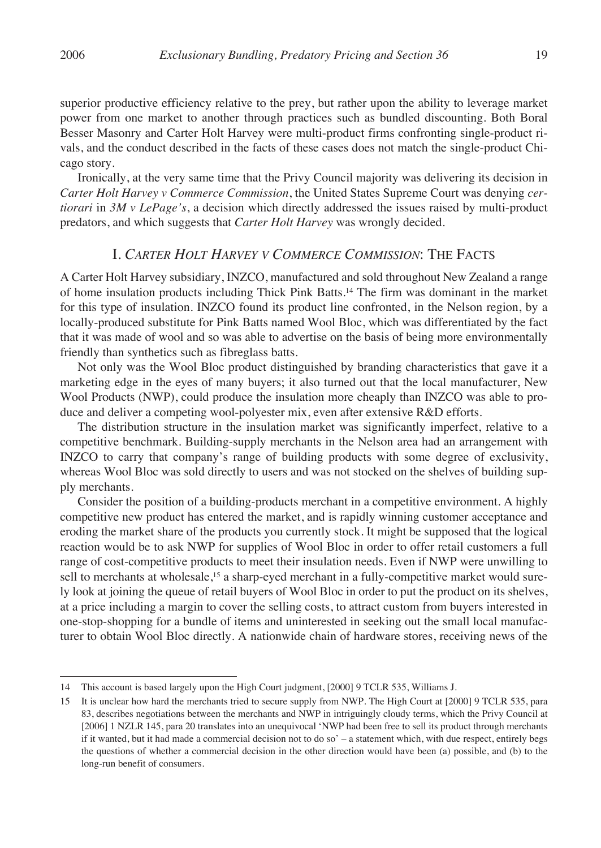superior productive efficiency relative to the prey, but rather upon the ability to leverage market power from one market to another through practices such as bundled discounting. Both Boral Besser Masonry and Carter Holt Harvey were multi-product firms confronting single-product rivals, and the conduct described in the facts of these cases does not match the single-product Chicago story.

Ironically, at the very same time that the Privy Council majority was delivering its decision in *Carter Holt Harvey v Commerce Commission*, the United States Supreme Court was denying *certiorari* in *3M v LePage's*, a decision which directly addressed the issues raised by multi-product predators, and which suggests that *Carter Holt Harvey* was wrongly decided.

### I. *Carter Holt Harvey v Commerce Commission*: The Facts

A Carter Holt Harvey subsidiary, INZCO, manufactured and sold throughout New Zealand a range of home insulation products including Thick Pink Batts.14 The firm was dominant in the market for this type of insulation. INZCO found its product line confronted, in the Nelson region, by a locally-produced substitute for Pink Batts named Wool Bloc, which was differentiated by the fact that it was made of wool and so was able to advertise on the basis of being more environmentally friendly than synthetics such as fibreglass batts.

Not only was the Wool Bloc product distinguished by branding characteristics that gave it a marketing edge in the eyes of many buyers; it also turned out that the local manufacturer, New Wool Products (NWP), could produce the insulation more cheaply than INZCO was able to produce and deliver a competing wool-polyester mix, even after extensive R&D efforts.

The distribution structure in the insulation market was significantly imperfect, relative to a competitive benchmark. Building-supply merchants in the Nelson area had an arrangement with INZCO to carry that company's range of building products with some degree of exclusivity, whereas Wool Bloc was sold directly to users and was not stocked on the shelves of building supply merchants.

Consider the position of a building-products merchant in a competitive environment. A highly competitive new product has entered the market, and is rapidly winning customer acceptance and eroding the market share of the products you currently stock. It might be supposed that the logical reaction would be to ask NWP for supplies of Wool Bloc in order to offer retail customers a full range of cost-competitive products to meet their insulation needs. Even if NWP were unwilling to sell to merchants at wholesale,<sup>15</sup> a sharp-eyed merchant in a fully-competitive market would surely look at joining the queue of retail buyers of Wool Bloc in order to put the product on its shelves, at a price including a margin to cover the selling costs, to attract custom from buyers interested in one-stop-shopping for a bundle of items and uninterested in seeking out the small local manufacturer to obtain Wool Bloc directly. A nationwide chain of hardware stores, receiving news of the

<sup>14</sup> This account is based largely upon the High Court judgment, [2000] 9 TCLR 535, Williams J.

<sup>15</sup> It is unclear how hard the merchants tried to secure supply from NWP. The High Court at [2000] 9 TCLR 535, para 83, describes negotiations between the merchants and NWP in intriguingly cloudy terms, which the Privy Council at [2006] 1 NZLR 145, para 20 translates into an unequivocal 'NWP had been free to sell its product through merchants if it wanted, but it had made a commercial decision not to do so' – a statement which, with due respect, entirely begs the questions of whether a commercial decision in the other direction would have been (a) possible, and (b) to the long-run benefit of consumers.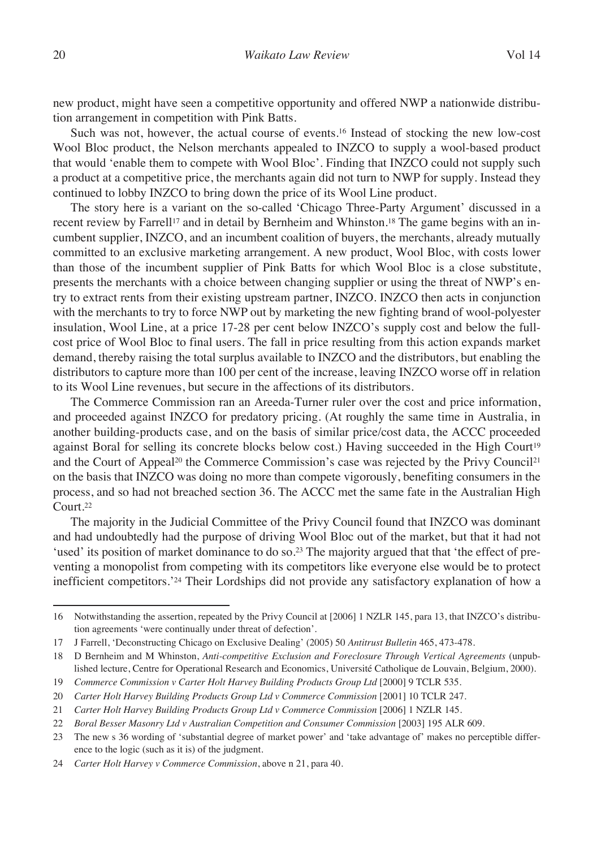new product, might have seen a competitive opportunity and offered NWP a nationwide distribution arrangement in competition with Pink Batts.

Such was not, however, the actual course of events.16 Instead of stocking the new low-cost Wool Bloc product, the Nelson merchants appealed to INZCO to supply a wool-based product that would 'enable them to compete with Wool Bloc'. Finding that INZCO could not supply such a product at a competitive price, the merchants again did not turn to NWP for supply. Instead they continued to lobby INZCO to bring down the price of its Wool Line product.

The story here is a variant on the so-called 'Chicago Three-Party Argument' discussed in a recent review by Farrell<sup>17</sup> and in detail by Bernheim and Whinston.<sup>18</sup> The game begins with an incumbent supplier, INZCO, and an incumbent coalition of buyers, the merchants, already mutually committed to an exclusive marketing arrangement. A new product, Wool Bloc, with costs lower than those of the incumbent supplier of Pink Batts for which Wool Bloc is a close substitute, presents the merchants with a choice between changing supplier or using the threat of NWP's entry to extract rents from their existing upstream partner, INZCO. INZCO then acts in conjunction with the merchants to try to force NWP out by marketing the new fighting brand of wool-polyester insulation, Wool Line, at a price 17-28 per cent below INZCO's supply cost and below the fullcost price of Wool Bloc to final users. The fall in price resulting from this action expands market demand, thereby raising the total surplus available to INZCO and the distributors, but enabling the distributors to capture more than 100 per cent of the increase, leaving INZCO worse off in relation to its Wool Line revenues, but secure in the affections of its distributors.

The Commerce Commission ran an Areeda-Turner ruler over the cost and price information, and proceeded against INZCO for predatory pricing. (At roughly the same time in Australia, in another building-products case, and on the basis of similar price/cost data, the ACCC proceeded against Boral for selling its concrete blocks below cost.) Having succeeded in the High Court<sup>19</sup> and the Court of Appeal<sup>20</sup> the Commerce Commission's case was rejected by the Privy Council<sup>21</sup> on the basis that INZCO was doing no more than compete vigorously, benefiting consumers in the process, and so had not breached section 36. The ACCC met the same fate in the Australian High Court.22

The majority in the Judicial Committee of the Privy Council found that INZCO was dominant and had undoubtedly had the purpose of driving Wool Bloc out of the market, but that it had not 'used' its position of market dominance to do so.<sup>23</sup> The majority argued that that 'the effect of preventing a monopolist from competing with its competitors like everyone else would be to protect inefficient competitors.'24 Their Lordships did not provide any satisfactory explanation of how a

19 *Commerce Commission v Carter Holt Harvey Building Products Group Ltd* [2000] 9 TCLR 535.

<sup>16</sup> Notwithstanding the assertion, repeated by the Privy Council at [2006] 1 NZLR 145, para 13, that INZCO's distribution agreements 'were continually under threat of defection'.

<sup>17</sup> J Farrell, 'Deconstructing Chicago on Exclusive Dealing' (2005) 50 *Antitrust Bulletin* 465, 473-478.

<sup>18</sup> D Bernheim and M Whinston, *Anti-competitive Exclusion and Foreclosure Through Vertical Agreements* (unpublished lecture, Centre for Operational Research and Economics, Université Catholique de Louvain, Belgium, 2000).

<sup>20</sup> *Carter Holt Harvey Building Products Group Ltd v Commerce Commission* [2001] 10 TCLR 247.

<sup>21</sup> *Carter Holt Harvey Building Products Group Ltd v Commerce Commission* [2006] 1 NZLR 145.

<sup>22</sup> *Boral Besser Masonry Ltd v Australian Competition and Consumer Commission* [2003] 195 ALR 609.

<sup>23</sup> The new s 36 wording of 'substantial degree of market power' and 'take advantage of' makes no perceptible difference to the logic (such as it is) of the judgment.

<sup>24</sup> *Carter Holt Harvey v Commerce Commission*, above n 21, para 40.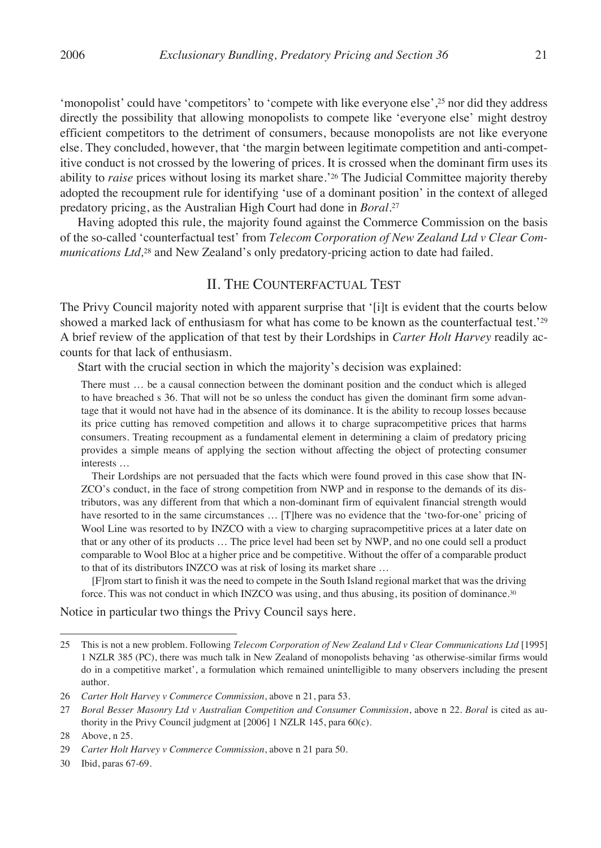'monopolist' could have 'competitors' to 'compete with like everyone else',25 nor did they address directly the possibility that allowing monopolists to compete like 'everyone else' might destroy efficient competitors to the detriment of consumers, because monopolists are not like everyone else. They concluded, however, that 'the margin between legitimate competition and anti-competitive conduct is not crossed by the lowering of prices. It is crossed when the dominant firm uses its ability to *raise* prices without losing its market share.'26 The Judicial Committee majority thereby adopted the recoupment rule for identifying 'use of a dominant position' in the context of alleged predatory pricing, as the Australian High Court had done in *Boral.*<sup>27</sup>

Having adopted this rule, the majority found against the Commerce Commission on the basis of the so-called 'counterfactual test' from *Telecom Corporation of New Zealand Ltd v Clear Communications Ltd*,<sup>28</sup> and New Zealand's only predatory-pricing action to date had failed.

#### II. The Counterfactual Test

The Privy Council majority noted with apparent surprise that '[i]t is evident that the courts below showed a marked lack of enthusiasm for what has come to be known as the counterfactual test.<sup>'29</sup> A brief review of the application of that test by their Lordships in *Carter Holt Harvey* readily accounts for that lack of enthusiasm.

Start with the crucial section in which the majority's decision was explained:

There must … be a causal connection between the dominant position and the conduct which is alleged to have breached s 36. That will not be so unless the conduct has given the dominant firm some advantage that it would not have had in the absence of its dominance. It is the ability to recoup losses because its price cutting has removed competition and allows it to charge supracompetitive prices that harms consumers. Treating recoupment as a fundamental element in determining a claim of predatory pricing provides a simple means of applying the section without affecting the object of protecting consumer interests …

Their Lordships are not persuaded that the facts which were found proved in this case show that IN-ZCO's conduct, in the face of strong competition from NWP and in response to the demands of its distributors, was any different from that which a non-dominant firm of equivalent financial strength would have resorted to in the same circumstances ... [T]here was no evidence that the 'two-for-one' pricing of Wool Line was resorted to by INZCO with a view to charging supracompetitive prices at a later date on that or any other of its products … The price level had been set by NWP, and no one could sell a product comparable to Wool Bloc at a higher price and be competitive. Without the offer of a comparable product to that of its distributors INZCO was at risk of losing its market share …

[F]rom start to finish it was the need to compete in the South Island regional market that was the driving force. This was not conduct in which INZCO was using, and thus abusing, its position of dominance.30

Notice in particular two things the Privy Council says here.

<sup>25</sup> This is not a new problem. Following *Telecom Corporation of New Zealand Ltd v Clear Communications Ltd* [1995] 1 NZLR 385 (PC), there was much talk in New Zealand of monopolists behaving 'as otherwise-similar firms would do in a competitive market', a formulation which remained unintelligible to many observers including the present author.

<sup>26</sup> *Carter Holt Harvey v Commerce Commission*, above n 21, para 53.

<sup>27</sup> *Boral Besser Masonry Ltd v Australian Competition and Consumer Commission*, above n 22. *Boral* is cited as authority in the Privy Council judgment at [2006] 1 NZLR 145, para 60(c).

<sup>28</sup> Above, n 25.

<sup>29</sup> *Carter Holt Harvey v Commerce Commission*, above n 21 para 50.

<sup>30</sup> Ibid, paras 67-69.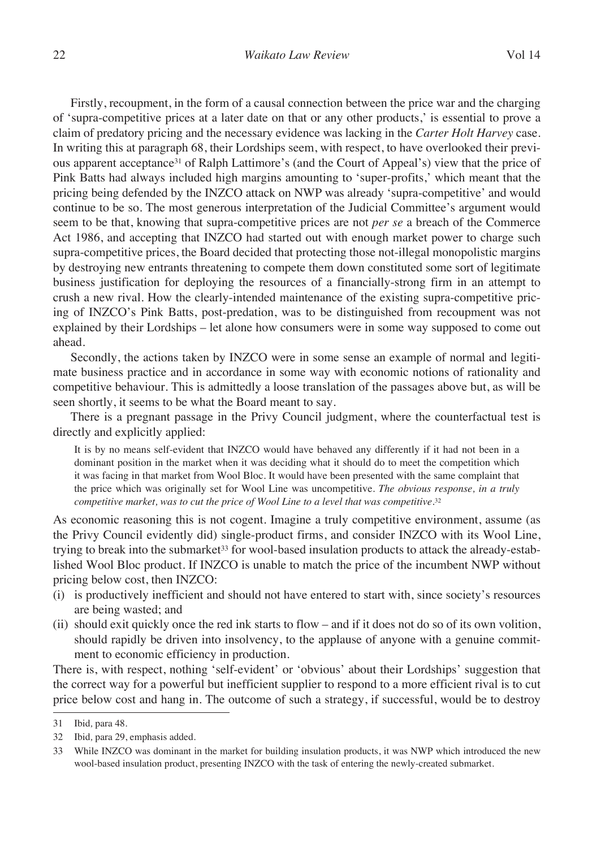Firstly, recoupment, in the form of a causal connection between the price war and the charging of 'supra-competitive prices at a later date on that or any other products,' is essential to prove a claim of predatory pricing and the necessary evidence was lacking in the *Carter Holt Harvey* case. In writing this at paragraph 68, their Lordships seem, with respect, to have overlooked their previous apparent acceptance31 of Ralph Lattimore's (and the Court of Appeal's) view that the price of Pink Batts had always included high margins amounting to 'super-profits,' which meant that the pricing being defended by the INZCO attack on NWP was already 'supra-competitive' and would continue to be so. The most generous interpretation of the Judicial Committee's argument would seem to be that, knowing that supra-competitive prices are not *per se* a breach of the Commerce Act 1986, and accepting that INZCO had started out with enough market power to charge such supra-competitive prices, the Board decided that protecting those not-illegal monopolistic margins by destroying new entrants threatening to compete them down constituted some sort of legitimate business justification for deploying the resources of a financially-strong firm in an attempt to crush a new rival. How the clearly-intended maintenance of the existing supra-competitive pricing of INZCO's Pink Batts, post-predation, was to be distinguished from recoupment was not explained by their Lordships – let alone how consumers were in some way supposed to come out ahead.

Secondly, the actions taken by INZCO were in some sense an example of normal and legitimate business practice and in accordance in some way with economic notions of rationality and competitive behaviour. This is admittedly a loose translation of the passages above but, as will be seen shortly, it seems to be what the Board meant to say.

There is a pregnant passage in the Privy Council judgment, where the counterfactual test is directly and explicitly applied:

It is by no means self-evident that INZCO would have behaved any differently if it had not been in a dominant position in the market when it was deciding what it should do to meet the competition which it was facing in that market from Wool Bloc. It would have been presented with the same complaint that the price which was originally set for Wool Line was uncompetitive. *The obvious response, in a truly competitive market, was to cut the price of Wool Line to a level that was competitive.*<sup>32</sup>

As economic reasoning this is not cogent. Imagine a truly competitive environment, assume (as the Privy Council evidently did) single-product firms, and consider INZCO with its Wool Line, trying to break into the submarket<sup>33</sup> for wool-based insulation products to attack the already-established Wool Bloc product. If INZCO is unable to match the price of the incumbent NWP without pricing below cost, then INZCO:

- (i) is productively inefficient and should not have entered to start with, since society's resources are being wasted; and
- (ii) should exit quickly once the red ink starts to flow and if it does not do so of its own volition, should rapidly be driven into insolvency, to the applause of anyone with a genuine commitment to economic efficiency in production.

There is, with respect, nothing 'self-evident' or 'obvious' about their Lordships' suggestion that the correct way for a powerful but inefficient supplier to respond to a more efficient rival is to cut price below cost and hang in. The outcome of such a strategy, if successful, would be to destroy

<sup>31</sup> Ibid*,* para 48.

<sup>32</sup> Ibid*,* para 29, emphasis added.

<sup>33</sup> While INZCO was dominant in the market for building insulation products, it was NWP which introduced the new wool-based insulation product, presenting INZCO with the task of entering the newly-created submarket.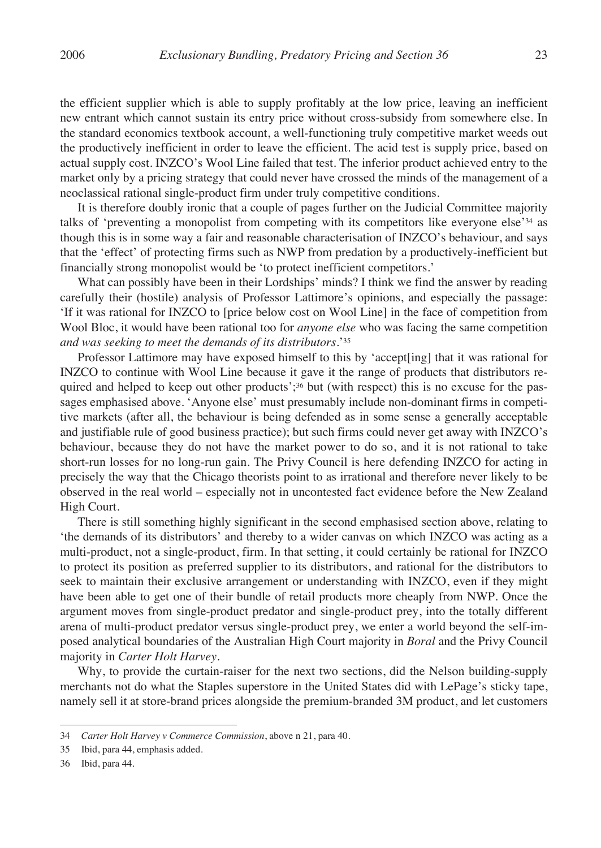the efficient supplier which is able to supply profitably at the low price, leaving an inefficient new entrant which cannot sustain its entry price without cross-subsidy from somewhere else. In the standard economics textbook account, a well-functioning truly competitive market weeds out the productively inefficient in order to leave the efficient. The acid test is supply price, based on actual supply cost. INZCO's Wool Line failed that test. The inferior product achieved entry to the market only by a pricing strategy that could never have crossed the minds of the management of a neoclassical rational single-product firm under truly competitive conditions.

It is therefore doubly ironic that a couple of pages further on the Judicial Committee majority talks of 'preventing a monopolist from competing with its competitors like everyone else'34 as though this is in some way a fair and reasonable characterisation of INZCO's behaviour, and says that the 'effect' of protecting firms such as NWP from predation by a productively-inefficient but financially strong monopolist would be 'to protect inefficient competitors.'

What can possibly have been in their Lordships' minds? I think we find the answer by reading carefully their (hostile) analysis of Professor Lattimore's opinions, and especially the passage: 'If it was rational for INZCO to [price below cost on Wool Line] in the face of competition from Wool Bloc, it would have been rational too for *anyone else* who was facing the same competition *and was seeking to meet the demands of its distributors.*'35

Professor Lattimore may have exposed himself to this by 'accept[ing] that it was rational for INZCO to continue with Wool Line because it gave it the range of products that distributors required and helped to keep out other products'; $36$  but (with respect) this is no excuse for the passages emphasised above. 'Anyone else' must presumably include non-dominant firms in competitive markets (after all, the behaviour is being defended as in some sense a generally acceptable and justifiable rule of good business practice); but such firms could never get away with INZCO's behaviour, because they do not have the market power to do so, and it is not rational to take short-run losses for no long-run gain. The Privy Council is here defending INZCO for acting in precisely the way that the Chicago theorists point to as irrational and therefore never likely to be observed in the real world – especially not in uncontested fact evidence before the New Zealand High Court.

There is still something highly significant in the second emphasised section above, relating to 'the demands of its distributors' and thereby to a wider canvas on which INZCO was acting as a multi-product, not a single-product, firm. In that setting, it could certainly be rational for INZCO to protect its position as preferred supplier to its distributors, and rational for the distributors to seek to maintain their exclusive arrangement or understanding with INZCO, even if they might have been able to get one of their bundle of retail products more cheaply from NWP. Once the argument moves from single-product predator and single-product prey, into the totally different arena of multi-product predator versus single-product prey, we enter a world beyond the self-imposed analytical boundaries of the Australian High Court majority in *Boral* and the Privy Council majority in *Carter Holt Harvey.*

Why, to provide the curtain-raiser for the next two sections, did the Nelson building-supply merchants not do what the Staples superstore in the United States did with LePage's sticky tape, namely sell it at store-brand prices alongside the premium-branded 3M product, and let customers

<sup>34</sup> *Carter Holt Harvey v Commerce Commission*, above n 21, para 40.

<sup>35</sup> Ibid, para 44, emphasis added.

<sup>36</sup> Ibid, para 44.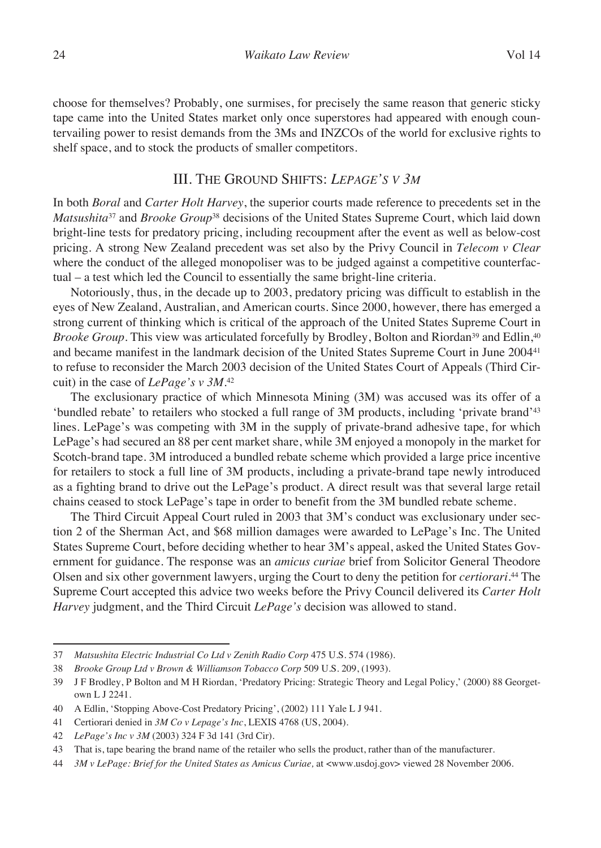choose for themselves? Probably, one surmises, for precisely the same reason that generic sticky tape came into the United States market only once superstores had appeared with enough countervailing power to resist demands from the 3Ms and INZCOs of the world for exclusive rights to shelf space, and to stock the products of smaller competitors.

#### III. The Ground Shifts: *Lepage's v 3m*

In both *Boral* and *Carter Holt Harvey*, the superior courts made reference to precedents set in the *Matsushita*<sup>37</sup> and *Brooke Group*38 decisions of the United States Supreme Court, which laid down bright-line tests for predatory pricing, including recoupment after the event as well as below-cost pricing. A strong New Zealand precedent was set also by the Privy Council in *Telecom v Clear* where the conduct of the alleged monopoliser was to be judged against a competitive counterfactual – a test which led the Council to essentially the same bright-line criteria.

Notoriously, thus, in the decade up to 2003, predatory pricing was difficult to establish in the eyes of New Zealand, Australian, and American courts. Since 2000, however, there has emerged a strong current of thinking which is critical of the approach of the United States Supreme Court in *Brooke Group*. This view was articulated forcefully by Brodley, Bolton and Riordan<sup>39</sup> and Edlin,<sup>40</sup> and became manifest in the landmark decision of the United States Supreme Court in June 200441 to refuse to reconsider the March 2003 decision of the United States Court of Appeals (Third Circuit) in the case of *LePage's v 3M.*<sup>42</sup>

The exclusionary practice of which Minnesota Mining (3M) was accused was its offer of a 'bundled rebate' to retailers who stocked a full range of 3M products, including 'private brand'43 lines. LePage's was competing with 3M in the supply of private-brand adhesive tape, for which LePage's had secured an 88 per cent market share, while 3M enjoyed a monopoly in the market for Scotch-brand tape. 3M introduced a bundled rebate scheme which provided a large price incentive for retailers to stock a full line of 3M products, including a private-brand tape newly introduced as a fighting brand to drive out the LePage's product. A direct result was that several large retail chains ceased to stock LePage's tape in order to benefit from the 3M bundled rebate scheme.

The Third Circuit Appeal Court ruled in 2003 that 3M's conduct was exclusionary under section 2 of the Sherman Act, and \$68 million damages were awarded to LePage's Inc. The United States Supreme Court, before deciding whether to hear 3M's appeal, asked the United States Government for guidance. The response was an *amicus curiae* brief from Solicitor General Theodore Olsen and six other government lawyers, urging the Court to deny the petition for *certiorari.*44 The Supreme Court accepted this advice two weeks before the Privy Council delivered its *Carter Holt Harvey* judgment, and the Third Circuit *LePage's* decision was allowed to stand.

<sup>37</sup> *Matsushita Electric Industrial Co Ltd v Zenith Radio Corp* 475 U.S. 574 (1986).

<sup>38</sup> *Brooke Group Ltd v Brown & Williamson Tobacco Corp* 509 U.S. 209, (1993).

<sup>39</sup> J F Brodley, P Bolton and M H Riordan, 'Predatory Pricing: Strategic Theory and Legal Policy,' (2000) 88 Georgetown L J 2241.

<sup>40</sup> A Edlin, 'Stopping Above-Cost Predatory Pricing', (2002) 111 Yale L J 941.

<sup>41</sup> Certiorari denied in *3M Co v Lepage's Inc*, LEXIS 4768 (US, 2004).

<sup>42</sup> *LePage's Inc v 3M* (2003) 324 F 3d 141 (3rd Cir).

<sup>43</sup> That is, tape bearing the brand name of the retailer who sells the product, rather than of the manufacturer.

<sup>44</sup> *3M v LePage: Brief for the United States as Amicus Curiae,* at <www.usdoj.gov> viewed 28 November 2006.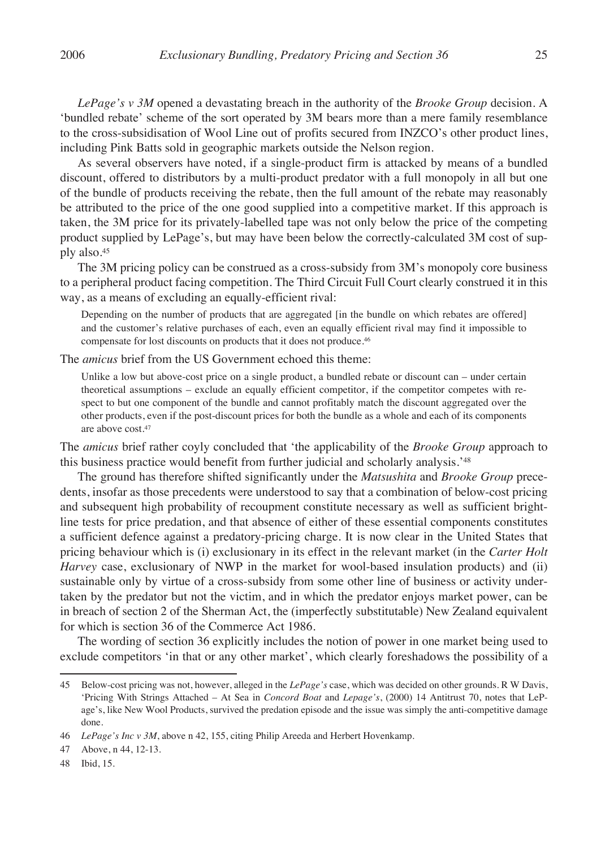*LePage's v 3M* opened a devastating breach in the authority of the *Brooke Group* decision. A 'bundled rebate' scheme of the sort operated by 3M bears more than a mere family resemblance to the cross-subsidisation of Wool Line out of profits secured from INZCO's other product lines, including Pink Batts sold in geographic markets outside the Nelson region.

As several observers have noted, if a single-product firm is attacked by means of a bundled discount, offered to distributors by a multi-product predator with a full monopoly in all but one of the bundle of products receiving the rebate, then the full amount of the rebate may reasonably be attributed to the price of the one good supplied into a competitive market. If this approach is taken, the 3M price for its privately-labelled tape was not only below the price of the competing product supplied by LePage's, but may have been below the correctly-calculated 3M cost of supply also.45

The 3M pricing policy can be construed as a cross-subsidy from 3M's monopoly core business to a peripheral product facing competition. The Third Circuit Full Court clearly construed it in this way, as a means of excluding an equally-efficient rival:

Depending on the number of products that are aggregated [in the bundle on which rebates are offered] and the customer's relative purchases of each, even an equally efficient rival may find it impossible to compensate for lost discounts on products that it does not produce.<sup>46</sup>

The *amicus* brief from the US Government echoed this theme:

Unlike a low but above-cost price on a single product, a bundled rebate or discount can – under certain theoretical assumptions – exclude an equally efficient competitor, if the competitor competes with respect to but one component of the bundle and cannot profitably match the discount aggregated over the other products, even if the post-discount prices for both the bundle as a whole and each of its components are above cost.47

The *amicus* brief rather coyly concluded that 'the applicability of the *Brooke Group* approach to this business practice would benefit from further judicial and scholarly analysis.'48

The ground has therefore shifted significantly under the *Matsushita* and *Brooke Group* precedents, insofar as those precedents were understood to say that a combination of below-cost pricing and subsequent high probability of recoupment constitute necessary as well as sufficient brightline tests for price predation, and that absence of either of these essential components constitutes a sufficient defence against a predatory-pricing charge. It is now clear in the United States that pricing behaviour which is (i) exclusionary in its effect in the relevant market (in the *Carter Holt Harvey* case, exclusionary of NWP in the market for wool-based insulation products) and (ii) sustainable only by virtue of a cross-subsidy from some other line of business or activity undertaken by the predator but not the victim, and in which the predator enjoys market power, can be in breach of section 2 of the Sherman Act, the (imperfectly substitutable) New Zealand equivalent for which is section 36 of the Commerce Act 1986.

The wording of section 36 explicitly includes the notion of power in one market being used to exclude competitors 'in that or any other market', which clearly foreshadows the possibility of a

<sup>45</sup> Below-cost pricing was not, however, alleged in the *LePage's* case, which was decided on other grounds. R W Davis, 'Pricing With Strings Attached – At Sea in *Concord Boat* and *Lepage's*, (2000) 14 Antitrust 70, notes that LePage's, like New Wool Products, survived the predation episode and the issue was simply the anti-competitive damage done.

<sup>46</sup> *LePage's Inc v 3M*, above n 42, 155, citing Philip Areeda and Herbert Hovenkamp.

<sup>47</sup> Above, n 44, 12-13.

<sup>48</sup> Ibid, 15.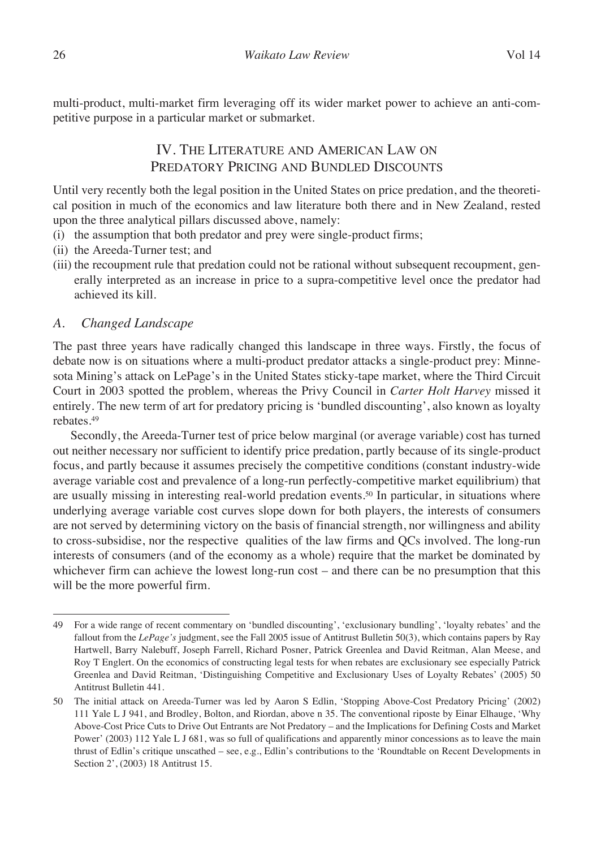multi-product, multi-market firm leveraging off its wider market power to achieve an anti-competitive purpose in a particular market or submarket.

## IV. The Literature and American Law on PREDATORY PRICING AND BUNDLED DISCOUNTS

Until very recently both the legal position in the United States on price predation, and the theoretical position in much of the economics and law literature both there and in New Zealand, rested upon the three analytical pillars discussed above, namely:

- (i) the assumption that both predator and prey were single-product firms;
- (ii) the Areeda-Turner test; and
- (iii) the recoupment rule that predation could not be rational without subsequent recoupment, generally interpreted as an increase in price to a supra-competitive level once the predator had achieved its kill.

### *A. Changed Landscape*

The past three years have radically changed this landscape in three ways. Firstly, the focus of debate now is on situations where a multi-product predator attacks a single-product prey: Minnesota Mining's attack on LePage's in the United States sticky-tape market, where the Third Circuit Court in 2003 spotted the problem, whereas the Privy Council in *Carter Holt Harvey* missed it entirely. The new term of art for predatory pricing is 'bundled discounting', also known as loyalty rebates.49

Secondly, the Areeda-Turner test of price below marginal (or average variable) cost has turned out neither necessary nor sufficient to identify price predation, partly because of its single-product focus, and partly because it assumes precisely the competitive conditions (constant industry-wide average variable cost and prevalence of a long-run perfectly-competitive market equilibrium) that are usually missing in interesting real-world predation events.50 In particular, in situations where underlying average variable cost curves slope down for both players, the interests of consumers are not served by determining victory on the basis of financial strength, nor willingness and ability to cross-subsidise, nor the respective qualities of the law firms and QCs involved. The long-run interests of consumers (and of the economy as a whole) require that the market be dominated by whichever firm can achieve the lowest long-run cost – and there can be no presumption that this will be the more powerful firm.

<sup>49</sup> For a wide range of recent commentary on 'bundled discounting', 'exclusionary bundling', 'loyalty rebates' and the fallout from the *LePage's* judgment, see the Fall 2005 issue of Antitrust Bulletin 50(3), which contains papers by Ray Hartwell, Barry Nalebuff, Joseph Farrell, Richard Posner, Patrick Greenlea and David Reitman, Alan Meese, and Roy T Englert. On the economics of constructing legal tests for when rebates are exclusionary see especially Patrick Greenlea and David Reitman, 'Distinguishing Competitive and Exclusionary Uses of Loyalty Rebates' (2005) 50 Antitrust Bulletin 441.

<sup>50</sup> The initial attack on Areeda-Turner was led by Aaron S Edlin, 'Stopping Above-Cost Predatory Pricing' (2002) 111 Yale L J 941, and Brodley, Bolton, and Riordan, above n 35. The conventional riposte by Einar Elhauge, 'Why Above-Cost Price Cuts to Drive Out Entrants are Not Predatory – and the Implications for Defining Costs and Market Power' (2003) 112 Yale L J 681, was so full of qualifications and apparently minor concessions as to leave the main thrust of Edlin's critique unscathed – see, e.g., Edlin's contributions to the 'Roundtable on Recent Developments in Section 2', (2003) 18 Antitrust 15.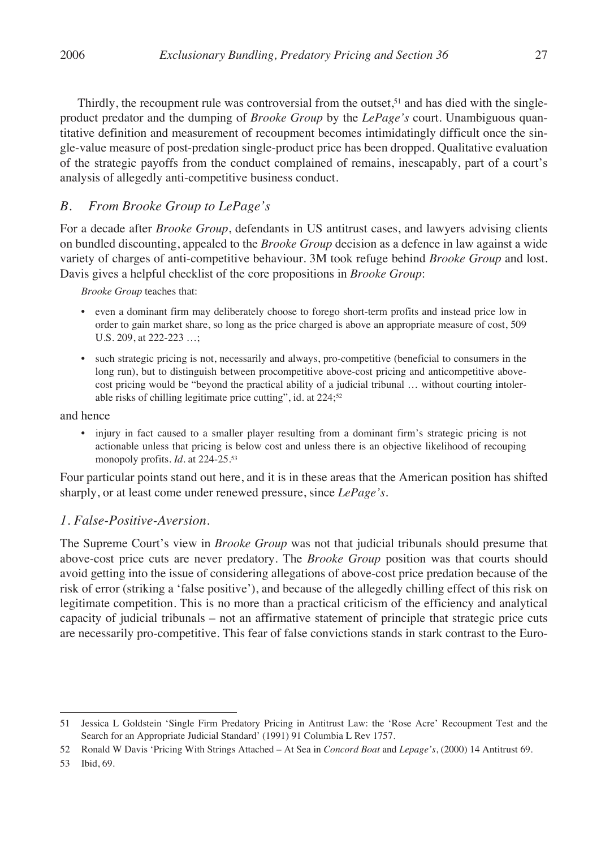Thirdly, the recoupment rule was controversial from the outset,<sup>51</sup> and has died with the singleproduct predator and the dumping of *Brooke Group* by the *LePage's* court. Unambiguous quantitative definition and measurement of recoupment becomes intimidatingly difficult once the single-value measure of post-predation single-product price has been dropped. Qualitative evaluation of the strategic payoffs from the conduct complained of remains, inescapably, part of a court's analysis of allegedly anti-competitive business conduct.

#### *B. From Brooke Group to LePage's*

For a decade after *Brooke Group*, defendants in US antitrust cases, and lawyers advising clients on bundled discounting, appealed to the *Brooke Group* decision as a defence in law against a wide variety of charges of anti-competitive behaviour. 3M took refuge behind *Brooke Group* and lost. Davis gives a helpful checklist of the core propositions in *Brooke Group*:

*Brooke Group* teaches that:

- even a dominant firm may deliberately choose to forego short-term profits and instead price low in order to gain market share, so long as the price charged is above an appropriate measure of cost, 509 U.S. 209, at 222-223 …;
- such strategic pricing is not, necessarily and always, pro-competitive (beneficial to consumers in the long run), but to distinguish between procompetitive above-cost pricing and anticompetitive abovecost pricing would be "beyond the practical ability of a judicial tribunal … without courting intolerable risks of chilling legitimate price cutting", id. at 224;<sup>52</sup>

and hence

• injury in fact caused to a smaller player resulting from a dominant firm's strategic pricing is not actionable unless that pricing is below cost and unless there is an objective likelihood of recouping monopoly profits. *Id.* at 224-25.53

Four particular points stand out here, and it is in these areas that the American position has shifted sharply, or at least come under renewed pressure, since *LePage's*.

#### *1. False-Positive-Aversion.*

The Supreme Court's view in *Brooke Group* was not that judicial tribunals should presume that above-cost price cuts are never predatory. The *Brooke Group* position was that courts should avoid getting into the issue of considering allegations of above-cost price predation because of the risk of error (striking a 'false positive'), and because of the allegedly chilling effect of this risk on legitimate competition. This is no more than a practical criticism of the efficiency and analytical capacity of judicial tribunals – not an affirmative statement of principle that strategic price cuts are necessarily pro-competitive. This fear of false convictions stands in stark contrast to the Euro-

<sup>51</sup> Jessica L Goldstein 'Single Firm Predatory Pricing in Antitrust Law: the 'Rose Acre' Recoupment Test and the Search for an Appropriate Judicial Standard' (1991) 91 Columbia L Rev 1757.

<sup>52</sup> Ronald W Davis 'Pricing With Strings Attached – At Sea in *Concord Boat* and *Lepage's*, (2000) 14 Antitrust 69.

<sup>53</sup> Ibid, 69.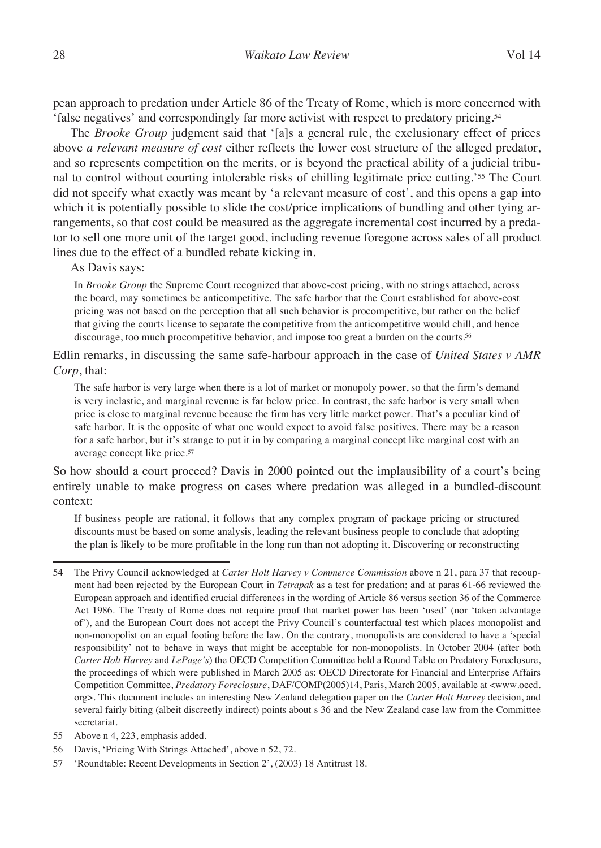pean approach to predation under Article 86 of the Treaty of Rome, which is more concerned with 'false negatives' and correspondingly far more activist with respect to predatory pricing.54

The *Brooke Group* judgment said that '[a]s a general rule, the exclusionary effect of prices above *a relevant measure of cost* either reflects the lower cost structure of the alleged predator, and so represents competition on the merits, or is beyond the practical ability of a judicial tribunal to control without courting intolerable risks of chilling legitimate price cutting.'55 The Court did not specify what exactly was meant by 'a relevant measure of cost', and this opens a gap into which it is potentially possible to slide the cost/price implications of bundling and other tying arrangements, so that cost could be measured as the aggregate incremental cost incurred by a predator to sell one more unit of the target good, including revenue foregone across sales of all product lines due to the effect of a bundled rebate kicking in.

As Davis says:

In *Brooke Group* the Supreme Court recognized that above-cost pricing, with no strings attached, across the board, may sometimes be anticompetitive. The safe harbor that the Court established for above-cost pricing was not based on the perception that all such behavior is procompetitive, but rather on the belief that giving the courts license to separate the competitive from the anticompetitive would chill, and hence discourage, too much procompetitive behavior, and impose too great a burden on the courts.56

Edlin remarks, in discussing the same safe-harbour approach in the case of *United States v AMR Corp*, that:

The safe harbor is very large when there is a lot of market or monopoly power, so that the firm's demand is very inelastic, and marginal revenue is far below price. In contrast, the safe harbor is very small when price is close to marginal revenue because the firm has very little market power. That's a peculiar kind of safe harbor. It is the opposite of what one would expect to avoid false positives. There may be a reason for a safe harbor, but it's strange to put it in by comparing a marginal concept like marginal cost with an average concept like price.57

So how should a court proceed? Davis in 2000 pointed out the implausibility of a court's being entirely unable to make progress on cases where predation was alleged in a bundled-discount context:

If business people are rational, it follows that any complex program of package pricing or structured discounts must be based on some analysis, leading the relevant business people to conclude that adopting the plan is likely to be more profitable in the long run than not adopting it. Discovering or reconstructing

- 55 Above n 4, 223, emphasis added.
- 56 Davis, 'Pricing With Strings Attached', above n 52, 72.
- 57 'Roundtable: Recent Developments in Section 2', (2003) 18 Antitrust 18.

<sup>54</sup> The Privy Council acknowledged at *Carter Holt Harvey v Commerce Commission* above n 21, para 37 that recoupment had been rejected by the European Court in *Tetrapak* as a test for predation; and at paras 61-66 reviewed the European approach and identified crucial differences in the wording of Article 86 versus section 36 of the Commerce Act 1986. The Treaty of Rome does not require proof that market power has been 'used' (nor 'taken advantage of'), and the European Court does not accept the Privy Council's counterfactual test which places monopolist and non-monopolist on an equal footing before the law. On the contrary, monopolists are considered to have a 'special responsibility' not to behave in ways that might be acceptable for non-monopolists. In October 2004 (after both *Carter Holt Harvey* and *LePage's*) the OECD Competition Committee held a Round Table on Predatory Foreclosure, the proceedings of which were published in March 2005 as: OECD Directorate for Financial and Enterprise Affairs Competition Committee, *Predatory Foreclosure*, DAF/COMP(2005)14, Paris, March 2005, available at <www.oecd. org>. This document includes an interesting New Zealand delegation paper on the *Carter Holt Harvey* decision, and several fairly biting (albeit discreetly indirect) points about s 36 and the New Zealand case law from the Committee secretariat.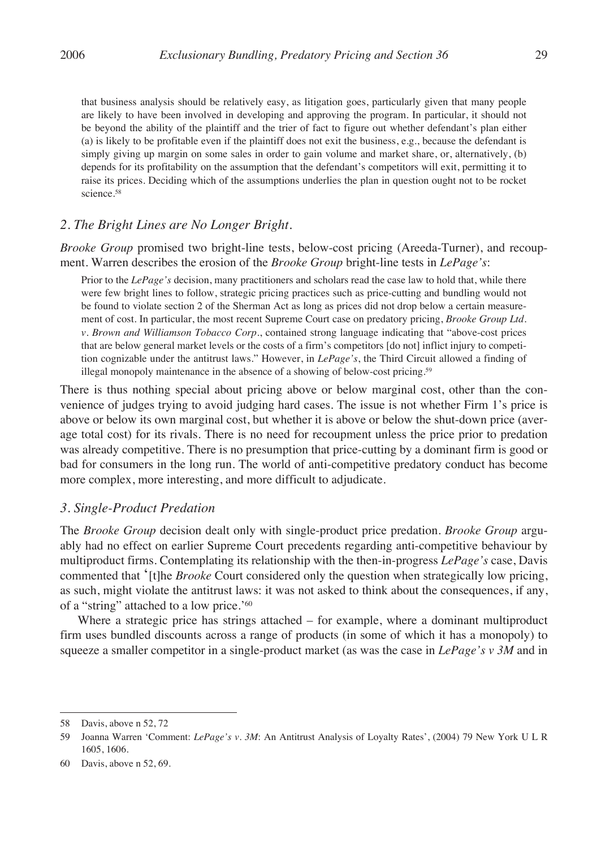that business analysis should be relatively easy, as litigation goes, particularly given that many people are likely to have been involved in developing and approving the program. In particular, it should not be beyond the ability of the plaintiff and the trier of fact to figure out whether defendant's plan either (a) is likely to be profitable even if the plaintiff does not exit the business, e.g., because the defendant is simply giving up margin on some sales in order to gain volume and market share, or, alternatively, (b) depends for its profitability on the assumption that the defendant's competitors will exit, permitting it to raise its prices. Deciding which of the assumptions underlies the plan in question ought not to be rocket science.58

#### *2. The Bright Lines are No Longer Bright.*

*Brooke Group* promised two bright-line tests, below-cost pricing (Areeda-Turner), and recoupment. Warren describes the erosion of the *Brooke Group* bright-line tests in *LePage's*:

Prior to the *LePage's* decision, many practitioners and scholars read the case law to hold that, while there were few bright lines to follow, strategic pricing practices such as price-cutting and bundling would not be found to violate section 2 of the Sherman Act as long as prices did not drop below a certain measurement of cost. In particular, the most recent Supreme Court case on predatory pricing, *Brooke Group Ltd. v. Brown and Williamson Tobacco Corp.*, contained strong language indicating that "above-cost prices that are below general market levels or the costs of a firm's competitors [do not] inflict injury to competition cognizable under the antitrust laws." However, in *LePage's*, the Third Circuit allowed a finding of illegal monopoly maintenance in the absence of a showing of below-cost pricing.59

There is thus nothing special about pricing above or below marginal cost, other than the convenience of judges trying to avoid judging hard cases. The issue is not whether Firm 1's price is above or below its own marginal cost, but whether it is above or below the shut-down price (average total cost) for its rivals. There is no need for recoupment unless the price prior to predation was already competitive. There is no presumption that price-cutting by a dominant firm is good or bad for consumers in the long run. The world of anti-competitive predatory conduct has become more complex, more interesting, and more difficult to adjudicate.

#### *3. Single-Product Predation*

The *Brooke Group* decision dealt only with single-product price predation. *Brooke Group* arguably had no effect on earlier Supreme Court precedents regarding anti-competitive behaviour by multiproduct firms. Contemplating its relationship with the then-in-progress *LePage's* case, Davis commented that '[t]he *Brooke* Court considered only the question when strategically low pricing, as such, might violate the antitrust laws: it was not asked to think about the consequences, if any, of a "string" attached to a low price.'60

Where a strategic price has strings attached – for example, where a dominant multiproduct firm uses bundled discounts across a range of products (in some of which it has a monopoly) to squeeze a smaller competitor in a single-product market (as was the case in *LePage's v 3M* and in

<sup>58</sup> Davis, above n 52, 72

<sup>59</sup> Joanna Warren 'Comment: *LePage's v. 3M*: An Antitrust Analysis of Loyalty Rates', (2004) 79 New York U L R 1605, 1606.

<sup>60</sup> Davis, above n 52, 69.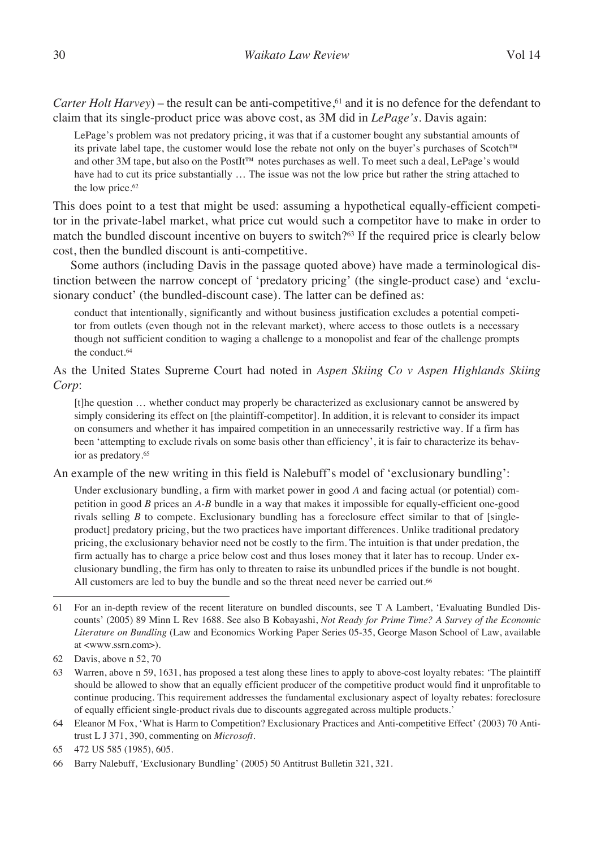*Carter Holt Harvey*) – the result can be anti-competitive,<sup>61</sup> and it is no defence for the defendant to claim that its single-product price was above cost, as 3M did in *LePage's*. Davis again:

LePage's problem was not predatory pricing, it was that if a customer bought any substantial amounts of its private label tape, the customer would lose the rebate not only on the buyer's purchases of Scotch™ and other 3M tape, but also on the PostIt™ notes purchases as well. To meet such a deal, LePage's would have had to cut its price substantially … The issue was not the low price but rather the string attached to the low price.<sup>62</sup>

This does point to a test that might be used: assuming a hypothetical equally-efficient competitor in the private-label market, what price cut would such a competitor have to make in order to match the bundled discount incentive on buyers to switch?63 If the required price is clearly below cost, then the bundled discount is anti-competitive.

Some authors (including Davis in the passage quoted above) have made a terminological distinction between the narrow concept of 'predatory pricing' (the single-product case) and 'exclusionary conduct' (the bundled-discount case). The latter can be defined as:

conduct that intentionally, significantly and without business justification excludes a potential competitor from outlets (even though not in the relevant market), where access to those outlets is a necessary though not sufficient condition to waging a challenge to a monopolist and fear of the challenge prompts the conduct.64

As the United States Supreme Court had noted in *Aspen Skiing Co v Aspen Highlands Skiing Corp*:

[t]he question … whether conduct may properly be characterized as exclusionary cannot be answered by simply considering its effect on [the plaintiff-competitor]. In addition, it is relevant to consider its impact on consumers and whether it has impaired competition in an unnecessarily restrictive way. If a firm has been 'attempting to exclude rivals on some basis other than efficiency', it is fair to characterize its behavior as predatory.65

An example of the new writing in this field is Nalebuff's model of 'exclusionary bundling':

Under exclusionary bundling, a firm with market power in good *A* and facing actual (or potential) competition in good *B* prices an *A-B* bundle in a way that makes it impossible for equally-efficient one-good rivals selling *B* to compete. Exclusionary bundling has a foreclosure effect similar to that of [singleproduct] predatory pricing, but the two practices have important differences. Unlike traditional predatory pricing, the exclusionary behavior need not be costly to the firm. The intuition is that under predation, the firm actually has to charge a price below cost and thus loses money that it later has to recoup. Under exclusionary bundling, the firm has only to threaten to raise its unbundled prices if the bundle is not bought. All customers are led to buy the bundle and so the threat need never be carried out.<sup>66</sup>

<sup>61</sup> For an in-depth review of the recent literature on bundled discounts, see T A Lambert, 'Evaluating Bundled Discounts' (2005) 89 Minn L Rev 1688*.* See also B Kobayashi, *Not Ready for Prime Time? A Survey of the Economic Literature on Bundling* (Law and Economics Working Paper Series 05-35, George Mason School of Law, available at <www.ssrn.com>).

<sup>62</sup> Davis, above n 52, 70

<sup>63</sup> Warren, above n 59, 1631, has proposed a test along these lines to apply to above-cost loyalty rebates: 'The plaintiff should be allowed to show that an equally efficient producer of the competitive product would find it unprofitable to continue producing. This requirement addresses the fundamental exclusionary aspect of loyalty rebates: foreclosure of equally efficient single-product rivals due to discounts aggregated across multiple products.'

<sup>64</sup> Eleanor M Fox, 'What is Harm to Competition? Exclusionary Practices and Anti-competitive Effect' (2003) 70 Antitrust L J 371, 390, commenting on *Microsoft*.

<sup>65</sup> 472 US 585 (1985), 605.

<sup>66</sup> Barry Nalebuff, 'Exclusionary Bundling' (2005) 50 Antitrust Bulletin 321, 321.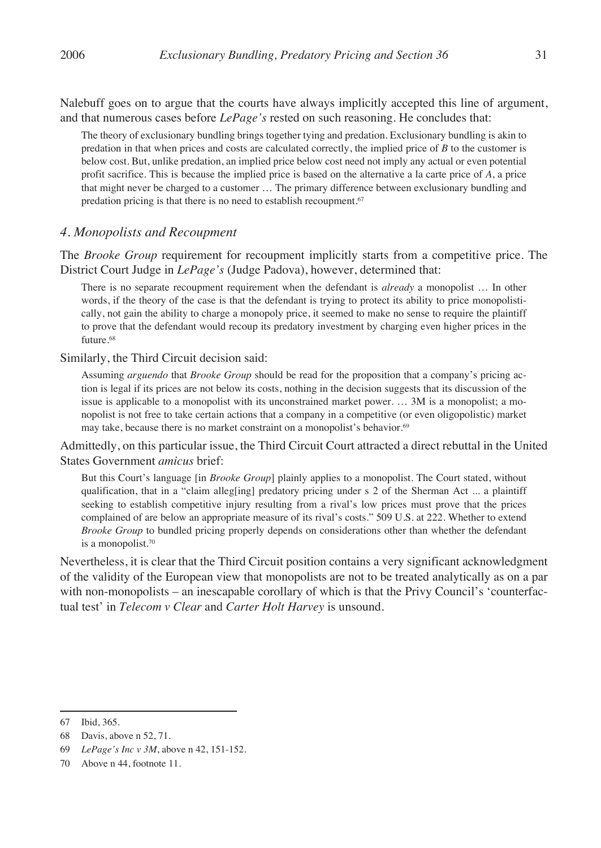Nalebuff goes on to argue that the courts have always implicitly accepted this line of argument, and that numerous cases before *LePage's* rested on such reasoning. He concludes that:

The theory of exclusionary bundling brings together tying and predation. Exclusionary bundling is akin to predation in that when prices and costs are calculated correctly, the implied price of *B* to the customer is below cost. But, unlike predation, an implied price below cost need not imply any actual or even potential profit sacrifice. This is because the implied price is based on the alternative a la carte price of *A*, a price that might never be charged to a customer … The primary difference between exclusionary bundling and predation pricing is that there is no need to establish recoupment.<sup>67</sup>

#### *4. Monopolists and Recoupment*

The *Brooke Group* requirement for recoupment implicitly starts from a competitive price. The District Court Judge in *LePage's* (Judge Padova), however, determined that:

There is no separate recoupment requirement when the defendant is *already* a monopolist … In other words, if the theory of the case is that the defendant is trying to protect its ability to price monopolistically, not gain the ability to charge a monopoly price, it seemed to make no sense to require the plaintiff to prove that the defendant would recoup its predatory investment by charging even higher prices in the future.<sup>68</sup>

Similarly, the Third Circuit decision said:

Assuming *arguendo* that *Brooke Group* should be read for the proposition that a company's pricing action is legal if its prices are not below its costs, nothing in the decision suggests that its discussion of the issue is applicable to a monopolist with its unconstrained market power. … 3M is a monopolist; a monopolist is not free to take certain actions that a company in a competitive (or even oligopolistic) market may take, because there is no market constraint on a monopolist's behavior.<sup>69</sup>

Admittedly, on this particular issue, the Third Circuit Court attracted a direct rebuttal in the United States Government *amicus* brief:

But this Court's language [in *Brooke Group*] plainly applies to a monopolist. The Court stated, without qualification, that in a "claim alleg[ing] predatory pricing under s 2 of the Sherman Act ... a plaintiff seeking to establish competitive injury resulting from a rival's low prices must prove that the prices complained of are below an appropriate measure of its rival's costs." 509 U.S. at 222. Whether to extend *Brooke Group* to bundled pricing properly depends on considerations other than whether the defendant is a monopolist.70

Nevertheless, it is clear that the Third Circuit position contains a very significant acknowledgment of the validity of the European view that monopolists are not to be treated analytically as on a par with non-monopolists – an inescapable corollary of which is that the Privy Council's 'counterfactual test' in *Telecom v Clear* and *Carter Holt Harvey* is unsound.

<sup>67</sup> Ibid, 365.

<sup>68</sup> Davis, above n 52, 71.

<sup>69</sup> *LePage's Inc v 3M*, above n 42, 151-152.

<sup>70</sup> Above n 44, footnote 11.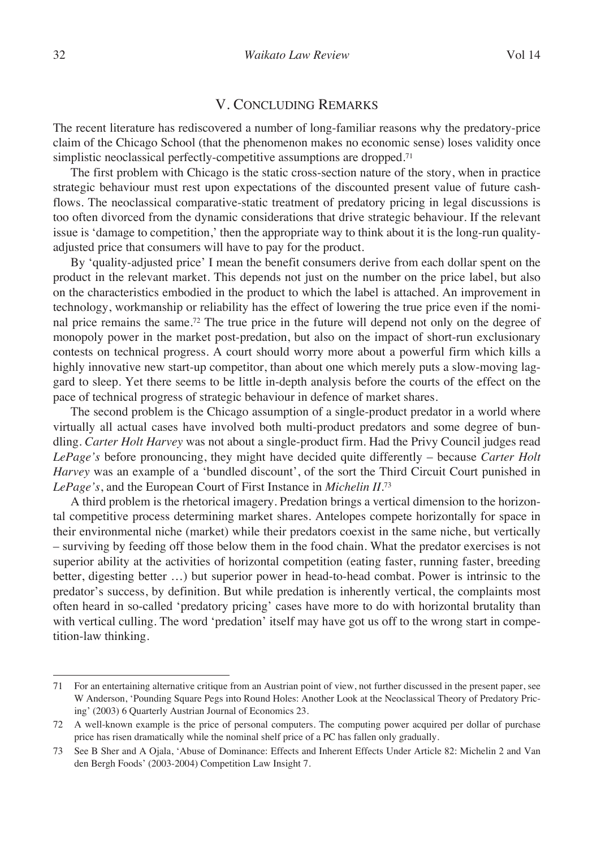#### V. Concluding Remarks

The recent literature has rediscovered a number of long-familiar reasons why the predatory-price claim of the Chicago School (that the phenomenon makes no economic sense) loses validity once simplistic neoclassical perfectly-competitive assumptions are dropped.<sup>71</sup>

The first problem with Chicago is the static cross-section nature of the story, when in practice strategic behaviour must rest upon expectations of the discounted present value of future cashflows. The neoclassical comparative-static treatment of predatory pricing in legal discussions is too often divorced from the dynamic considerations that drive strategic behaviour. If the relevant issue is 'damage to competition,' then the appropriate way to think about it is the long-run qualityadjusted price that consumers will have to pay for the product.

By 'quality-adjusted price' I mean the benefit consumers derive from each dollar spent on the product in the relevant market. This depends not just on the number on the price label, but also on the characteristics embodied in the product to which the label is attached. An improvement in technology, workmanship or reliability has the effect of lowering the true price even if the nominal price remains the same.72 The true price in the future will depend not only on the degree of monopoly power in the market post-predation, but also on the impact of short-run exclusionary contests on technical progress. A court should worry more about a powerful firm which kills a highly innovative new start-up competitor, than about one which merely puts a slow-moving laggard to sleep. Yet there seems to be little in-depth analysis before the courts of the effect on the pace of technical progress of strategic behaviour in defence of market shares.

The second problem is the Chicago assumption of a single-product predator in a world where virtually all actual cases have involved both multi-product predators and some degree of bundling. *Carter Holt Harvey* was not about a single-product firm. Had the Privy Council judges read *LePage's* before pronouncing, they might have decided quite differently – because *Carter Holt Harvey* was an example of a 'bundled discount', of the sort the Third Circuit Court punished in *LePage's*, and the European Court of First Instance in *Michelin II*.73

A third problem is the rhetorical imagery. Predation brings a vertical dimension to the horizontal competitive process determining market shares. Antelopes compete horizontally for space in their environmental niche (market) while their predators coexist in the same niche, but vertically – surviving by feeding off those below them in the food chain. What the predator exercises is not superior ability at the activities of horizontal competition (eating faster, running faster, breeding better, digesting better …) but superior power in head-to-head combat. Power is intrinsic to the predator's success, by definition. But while predation is inherently vertical, the complaints most often heard in so-called 'predatory pricing' cases have more to do with horizontal brutality than with vertical culling. The word 'predation' itself may have got us off to the wrong start in competition-law thinking.

<sup>71</sup> For an entertaining alternative critique from an Austrian point of view, not further discussed in the present paper, see W Anderson, 'Pounding Square Pegs into Round Holes: Another Look at the Neoclassical Theory of Predatory Pricing' (2003) 6 Quarterly Austrian Journal of Economics 23.

<sup>72</sup> A well-known example is the price of personal computers. The computing power acquired per dollar of purchase price has risen dramatically while the nominal shelf price of a PC has fallen only gradually.

<sup>73</sup> See B Sher and A Ojala, 'Abuse of Dominance: Effects and Inherent Effects Under Article 82: Michelin 2 and Van den Bergh Foods' (2003-2004) Competition Law Insight 7.